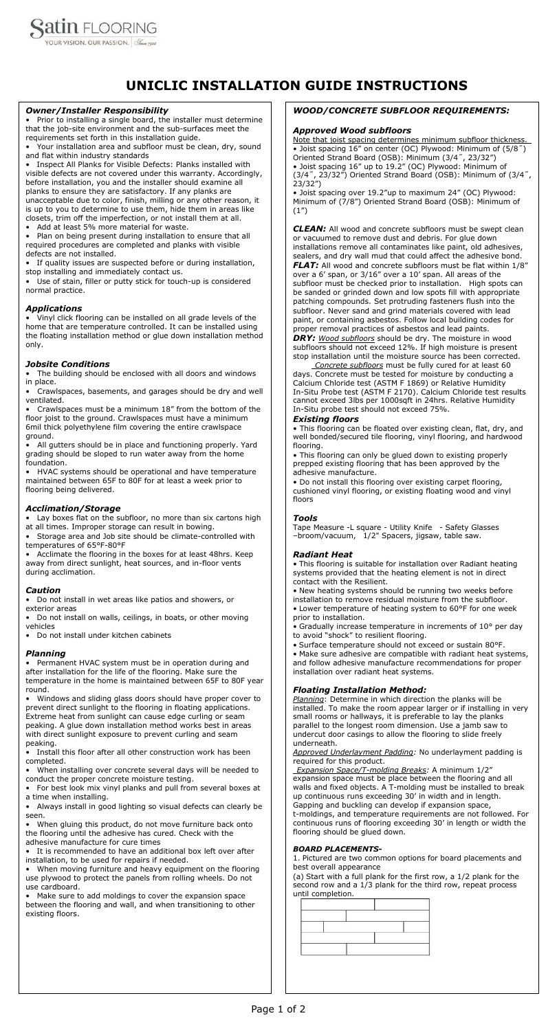

# **UNICLIC INSTALLATION GUIDE INSTRUCTIONS**

#### *WOOD/CONCRETE SUBFLOOR REQUIREMENTS:*

#### *Approved Wood subfloors*

Note that joist spacing determines minimum subfloor thickness. • Joist spacing 16" on center (OC) Plywood: Minimum of (5/8˝) Oriented Strand Board (OSB): Minimum (3/4˝, 23/32") • Joist spacing 16" up to 19.2" (OC) Plywood: Minimum of (3/4˝, 23/32") Oriented Strand Board (OSB): Minimum of (3/4˝, 23/32")

• Joist spacing over 19.2"up to maximum 24" (OC) Plywood: Minimum of (7/8") Oriented Strand Board (OSB): Minimum of (1")

*CLEAN:* All wood and concrete subfloors must be swept clean or vacuumed to remove dust and debris. For glue down installations remove all contaminates like paint, old adhesives, sealers, and dry wall mud that could affect the adhesive bond. **FLAT:** All wood and concrete subfloors must be flat within 1/8" over a 6' span, or 3/16" over a 10' span. All areas of the subfloor must be checked prior to installation. High spots can be sanded or grinded down and low spots fill with appropriate patching compounds. Set protruding fasteners flush into the subfloor. Never sand and grind materials covered with lead

paint, or containing asbestos. Follow local building codes for proper removal practices of asbestos and lead paints. *DRY: Wood subfloors* should be dry. The moisture in wood subfloors should not exceed 12%. If high moisture is present

stop installation until the moisture source has been corrected.  *Concrete subfloors* must be fully cured for at least 60 days. Concrete must be tested for moisture by conducting a

Calcium Chloride test (ASTM F 1869) or Relative Humidity In-Situ Probe test (ASTM F 2170). Calcium Chloride test results cannot exceed 3lbs per 1000sqft in 24hrs. Relative Humidity In-Situ probe test should not exceed 75%.

#### *Existing floors*

• This flooring can be floated over existing clean, flat, dry, and well bonded/secured tile flooring, vinyl flooring, and hardwood flooring.

• This flooring can only be glued down to existing properly prepped existing flooring that has been approved by the adhesive manufacture.

• Do not install this flooring over existing carpet flooring, cushioned vinyl flooring, or existing floating wood and vinyl floors

# *Tools*

Tape Measure -L square - Utility Knife - Safety Glasses –broom/vacuum, 1/2" Spacers, jigsaw, table saw.

# *Radiant Heat*

• This flooring is suitable for installation over Radiant heating systems provided that the heating element is not in direct contact with the Resilient.

Plan on being present during installation to ensure that all required procedures are completed and planks with visible defects are not installed.

> • New heating systems should be running two weeks before installation to remove residual moisture from the subfloor. • Lower temperature of heating system to 60°F for one week prior to installation.

If quality issues are suspected before or during installation, stop installing and immediately contact us.

> • Gradually increase temperature in increments of 10° per day to avoid "shock" to resilient flooring.

• Surface temperature should not exceed or sustain 80°F.

• Make sure adhesive are compatible with radiant heat systems, and follow adhesive manufacture recommendations for proper installation over radiant heat systems.

# *Floating Installation Method:*

Storage area and Job site should be climate-controlled with temperatures of 65°F-80°F

> *Planning*: Determine in which direction the planks will be installed. To make the room appear larger or if installing in very small rooms or hallways, it is preferable to lay the planks parallel to the longest room dimension. Use a jamb saw to undercut door casings to allow the flooring to slide freely underneath.

*Approved Underlayment Padding:* No underlayment padding is required for this product.

*Expansion Space/T-molding Breaks:* A minimum 1/2" expansion space must be place between the flooring and all walls and fixed objects. A T-molding must be installed to break up continuous runs exceeding 30' in width and in length. Gapping and buckling can develop if expansion space,

Install this floor after all other construction work has been completed.

t-moldings, and temperature requirements are not followed. For

continuous runs of flooring exceeding 30' in length or width the flooring should be glued down.

When gluing this product, do not move furniture back onto the flooring until the adhesive has cured. Check with the adhesive manufacture for cure times

#### *BOARD PLACEMENTS***-**

1. Pictured are two common options for board placements and best overall appearance

(a) Start with a full plank for the first row, a 1/2 plank for the second row and a 1/3 plank for the third row, repeat process until completion.



#### *Owner/Installer Responsibility*

• Prior to installing a single board, the installer must determine that the job-site environment and the sub-surfaces meet the requirements set forth in this installation guide.

• Your installation area and subfloor must be clean, dry, sound and flat within industry standards

• Inspect All Planks for Visible Defects: Planks installed with visible defects are not covered under this warranty. Accordingly, before installation, you and the installer should examine all planks to ensure they are satisfactory. If any planks are unacceptable due to color, finish, milling or any other reason, it is up to you to determine to use them, hide them in areas like closets, trim off the imperfection, or not install them at all.

Add at least 5% more material for waste.

• Use of stain, filler or putty stick for touch-up is considered normal practice.

# *Applications*

• Vinyl click flooring can be installed on all grade levels of the home that are temperature controlled. It can be installed using the floating installation method or glue down installation method only.

# *Jobsite Conditions*

• The building should be enclosed with all doors and windows in place.

• Crawlspaces, basements, and garages should be dry and well ventilated.

• Crawlspaces must be a minimum 18" from the bottom of the floor joist to the ground. Crawlspaces must have a minimum 6mil thick polyethylene film covering the entire crawlspace ground.

• All gutters should be in place and functioning properly. Yard grading should be sloped to run water away from the home foundation.

• HVAC systems should be operational and have temperature maintained between 65F to 80F for at least a week prior to flooring being delivered.

# *Acclimation/Storage*

• Lay boxes flat on the subfloor, no more than six cartons high at all times. Improper storage can result in bowing.

• Acclimate the flooring in the boxes for at least 48hrs. Keep away from direct sunlight, heat sources, and in-floor vents during acclimation.

# *Caution*

• Do not install in wet areas like patios and showers, or exterior areas

• Do not install on walls, ceilings, in boats, or other moving vehicles

• Do not install under kitchen cabinets

#### *Planning*

• Permanent HVAC system must be in operation during and after installation for the life of the flooring. Make sure the temperature in the home is maintained between 65F to 80F year round.

• Windows and sliding glass doors should have proper cover to prevent direct sunlight to the flooring in floating applications. Extreme heat from sunlight can cause edge curling or seam peaking. A glue down installation method works best in areas with direct sunlight exposure to prevent curling and seam peaking.

• When installing over concrete several days will be needed to conduct the proper concrete moisture testing.

• For best look mix vinyl planks and pull from several boxes at a time when installing.

• Always install in good lighting so visual defects can clearly be seen.

• It is recommended to have an additional box left over after installation, to be used for repairs if needed.

• When moving furniture and heavy equipment on the flooring use plywood to protect the panels from rolling wheels. Do not use cardboard.

• Make sure to add moldings to cover the expansion space between the flooring and wall, and when transitioning to other existing floors.

Page 1 of 2